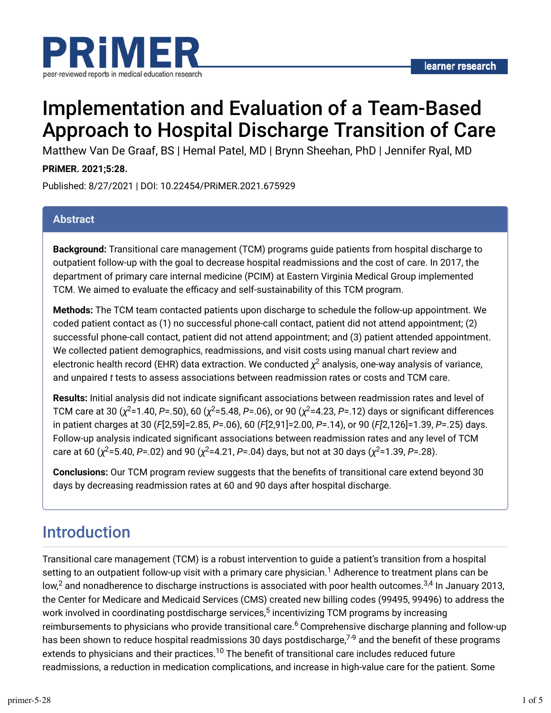

# Implementation and Evaluation of a Team-Based Approach to Hospital Discharge Transition of Care

Matthew Van De Graaf, BS | Hemal Patel, MD | Brynn Sheehan, PhD | Jennifer Ryal, MD

#### **PRiMER. 2021;5:28.**

Published: 8/27/2021 | DOI: 10.22454/PRiMER.2021.675929

#### **Abstract**

**Background:** Transitional care management (TCM) programs guide patients from hospital discharge to outpatient follow-up with the goal to decrease hospital readmissions and the cost of care. In 2017, the department of primary care internal medicine (PCIM) at Eastern Virginia Medical Group implemented TCM. We aimed to evaluate the efficacy and self-sustainability of this TCM program.

**Methods:** The TCM team contacted patients upon discharge to schedule the follow-up appointment. We coded patient contact as (1) no successful phone-call contact, patient did not attend appointment; (2) successful phone-call contact, patient did not attend appointment; and (3) patient attended appointment. We collected patient demographics, readmissions, and visit costs using manual chart review and electronic health record (EHR) data extraction. We conducted  $\chi^2$  analysis, one-way analysis of variance, and unpaired *t* tests to assess associations between readmission rates or costs and TCM care.

Results: Initial analysis did not indicate significant associations between readmission rates and level of TCM care at 30 (χ<sup>2</sup>=1.40, *P*=.50), 60 (χ<sup>2</sup>=5.48, *P*=.06), or 90 (χ<sup>2</sup>=4.23, *P*=.12) days or significant differences in patient charges at 30 (*F*[2,59]=2.85, *P*=.06), 60 (*F*[2,91]=2.00, *P*=.14), or 90 (*F[*2,126]=1.39, *P*=.25) days. Follow-up analysis indicated significant associations between readmission rates and any level of TCM care at 60 (χ<sup>2</sup>=5.40, P=.02) and 90 (χ<sup>2</sup>=4.21, P=.04) days, but not at 30 days (χ<sup>2</sup>=1.39, P=.28).

**Conclusions:** Our TCM program review suggests that the benefits of transitional care extend beyond 30 days by decreasing readmission rates at 60 and 90 days after hospital discharge.

## Introduction

Transitional care management (TCM) is a robust intervention to guide a patient's transition from a hospital setting to an outpatient follow-up visit with a primary care physician. $^1$  Adherence to treatment plans can be low, $^2$  and nonadherence to discharge instructions is associated with poor health outcomes. $^{3,4}$  In January 2013, the Center for Medicare and Medicaid Services (CMS) created new billing codes (99495, 99496) to address the work involved in coordinating postdischarge services, $^5$  incentivizing TCM programs by increasing reimbursements to physicians who provide transitional care.<sup>6</sup> Comprehensive discharge planning and follow-up has been shown to reduce hospital readmissions 30 days postdischarge, $^{7\text{-}9}$  and the benefit of these programs extends to physicians and their practices.<sup>10</sup> The benefit of transitional care includes reduced future readmissions, a reduction in medication complications, and increase in high-value care for the patient. Some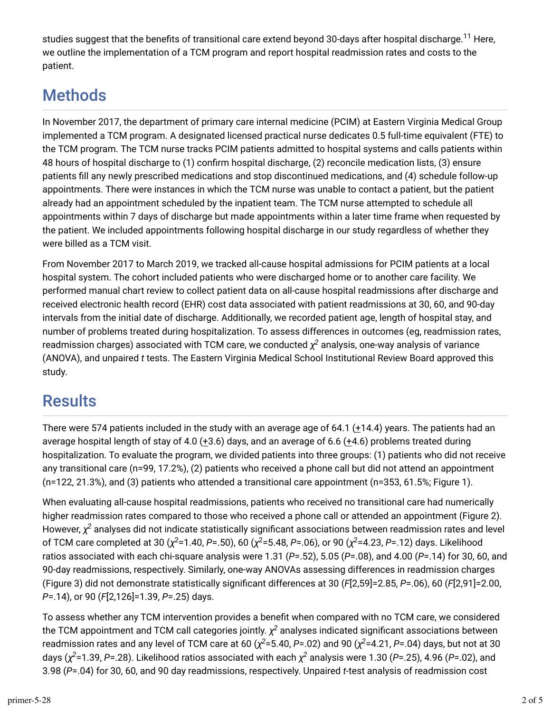studies suggest that the benefits of transitional care extend beyond 30-days after hospital discharge.<sup>11</sup> Here, we outline the implementation of a TCM program and report hospital readmission rates and costs to the patient.

# **Methods**

In November 2017, the department of primary care internal medicine (PCIM) at Eastern Virginia Medical Group implemented a TCM program. A designated licensed practical nurse dedicates 0.5 full-time equivalent (FTE) to the TCM program. The TCM nurse tracks PCIM patients admitted to hospital systems and calls patients within 48 hours of hospital discharge to (1) confirm hospital discharge, (2) reconcile medication lists, (3) ensure patients fill any newly prescribed medications and stop discontinued medications, and (4) schedule follow-up appointments. There were instances in which the TCM nurse was unable to contact a patient, but the patient already had an appointment scheduled by the inpatient team. The TCM nurse attempted to schedule all appointments within 7 days of discharge but made appointments within a later time frame when requested by the patient. We included appointments following hospital discharge in our study regardless of whether they were billed as a TCM visit.

From November 2017 to March 2019, we tracked all-cause hospital admissions for PCIM patients at a local hospital system. The cohort included patients who were discharged home or to another care facility. We performed manual chart review to collect patient data on all-cause hospital readmissions after discharge and received electronic health record (EHR) cost data associated with patient readmissions at 30, 60, and 90-day intervals from the initial date of discharge. Additionally, we recorded patient age, length of hospital stay, and number of problems treated during hospitalization. To assess differences in outcomes (eg, readmission rates, readmission charges) associated with TCM care, we conducted  $\chi^2$  analysis, one-way analysis of variance (ANOVA), and unpaired *t* tests. The Eastern Virginia Medical School Institutional Review Board approved this study.

# Results

There were 574 patients included in the study with an average age of 64.1 ( $\pm$ 14.4) years. The patients had an average hospital length of stay of 4.0 (+3.6) days, and an average of 6.6 (+4.6) problems treated during hospitalization. To evaluate the program, we divided patients into three groups: (1) patients who did not receive any transitional care (n=99, 17.2%), (2) patients who received a phone call but did not attend an appointment (n=122, 21.3%), and (3) patients who attended a transitional care appointment (n=353, 61.5%; Figure 1).

When evaluating all-cause hospital readmissions, patients who received no transitional care had numerically higher readmission rates compared to those who received a phone call or attended an appointment (Figure 2). However,  $\chi^2$  analyses did not indicate statistically significant associations between readmission rates and level of TCM care completed at 30 (χ<sup>2</sup>=1.40, P=.50), 60 (χ<sup>2</sup>=5.48, P=.06), or 90 (χ<sup>2</sup>=4.23, P=.12) days. Likelihood ratios associated with each chi-square analysis were 1.31 (*P*=.52), 5.05 (*P*=.08), and 4.00 (*P*=.14) for 30, 60, and 90-day readmissions, respectively. Similarly, one-way ANOVAs assessing differences in readmission charges (Figure 3) did not demonstrate statistically significant differences at 30 ( $F[2,59]=2.85$ ,  $P=.06$ ), 60 ( $F[2,91]=2.00$ , *P*=.14), or 90 (*F*[2,126]=1.39, *P*=.25) days.

To assess whether any TCM intervention provides a benefit when compared with no TCM care, we considered the TCM appointment and TCM call categories jointly.  $\chi^2$  analyses indicated significant associations between readmission rates and any level of TCM care at 60 ( $\chi^2$ =5.40, P=.02) and 90 ( $\chi^2$ =4.21, P=.04) days, but not at 30 days (χ<sup>2</sup>=1.39, P=.28). Likelihood ratios associated with each χ<sup>2</sup> analysis were 1.30 (P=.25), 4.96 (P=.02), and 3.98 (*P*=.04) for 30, 60, and 90 day readmissions, respectively. Unpaired *t*-test analysis of readmission cost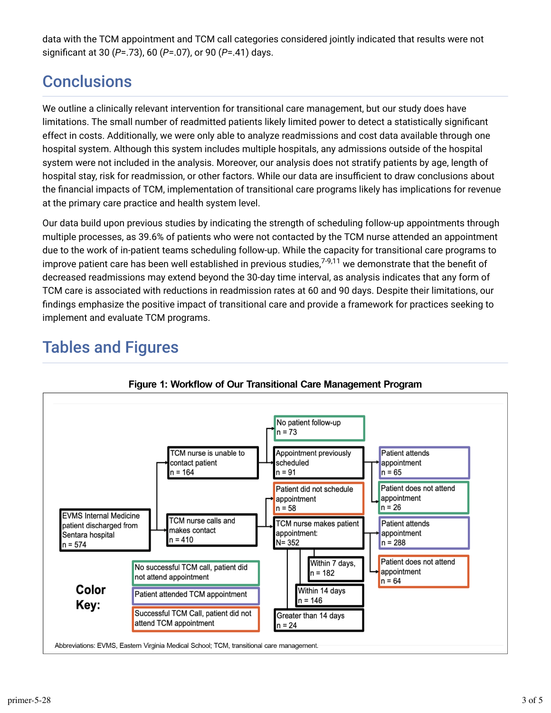data with the TCM appointment and TCM call categories considered jointly indicated that results were not significant at 30 (*P*=.73), 60 (*P*=.07), or 90 (*P*=.41) days.

## **Conclusions**

We outline a clinically relevant intervention for transitional care management, but our study does have limitations. The small number of readmitted patients likely limited power to detect a statistically significant effect in costs. Additionally, we were only able to analyze readmissions and cost data available through one hospital system. Although this system includes multiple hospitals, any admissions outside of the hospital system were not included in the analysis. Moreover, our analysis does not stratify patients by age, length of hospital stay, risk for readmission, or other factors. While our data are insufficient to draw conclusions about the financial impacts of TCM, implementation of transitional care programs likely has implications for revenue at the primary care practice and health system level.

Our data build upon previous studies by indicating the strength of scheduling follow-up appointments through multiple processes, as 39.6% of patients who were not contacted by the TCM nurse attended an appointment due to the work of in-patient teams scheduling follow-up. While the capacity for transitional care programs to improve patient care has been well established in previous studies,<sup>7-9,11</sup> we demonstrate that the benefit of decreased readmissions may extend beyond the 30-day time interval, as analysis indicates that any form of TCM care is associated with reductions in readmission rates at 60 and 90 days. Despite their limitations, our findings emphasize the positive impact of transitional care and provide a framework for practices seeking to implement and evaluate TCM programs.

# Tables and Figures



Figure 1: Workflow of Our Transitional Care Management Program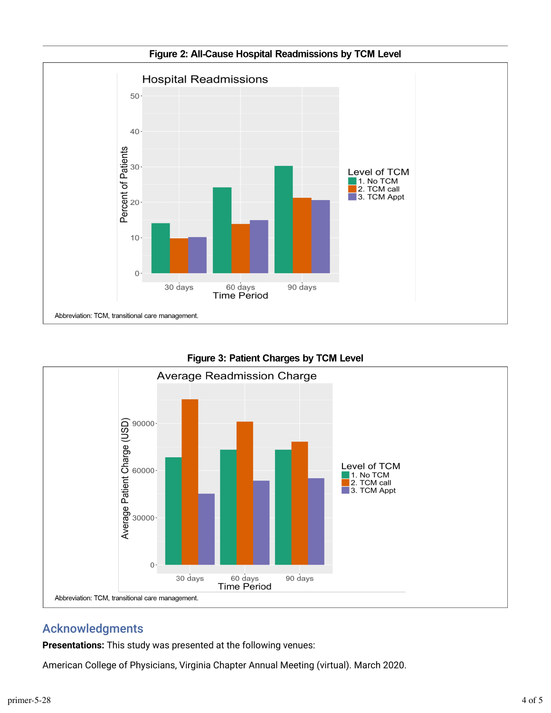

Figure 2: All-Cause Hospital Readmissions by TCM Level



Figure 3: Patient Charges by TCM Level

### Acknowledgments

**Presentations:** This study was presented at the following venues:

American College of Physicians, Virginia Chapter Annual Meeting (virtual). March 2020.